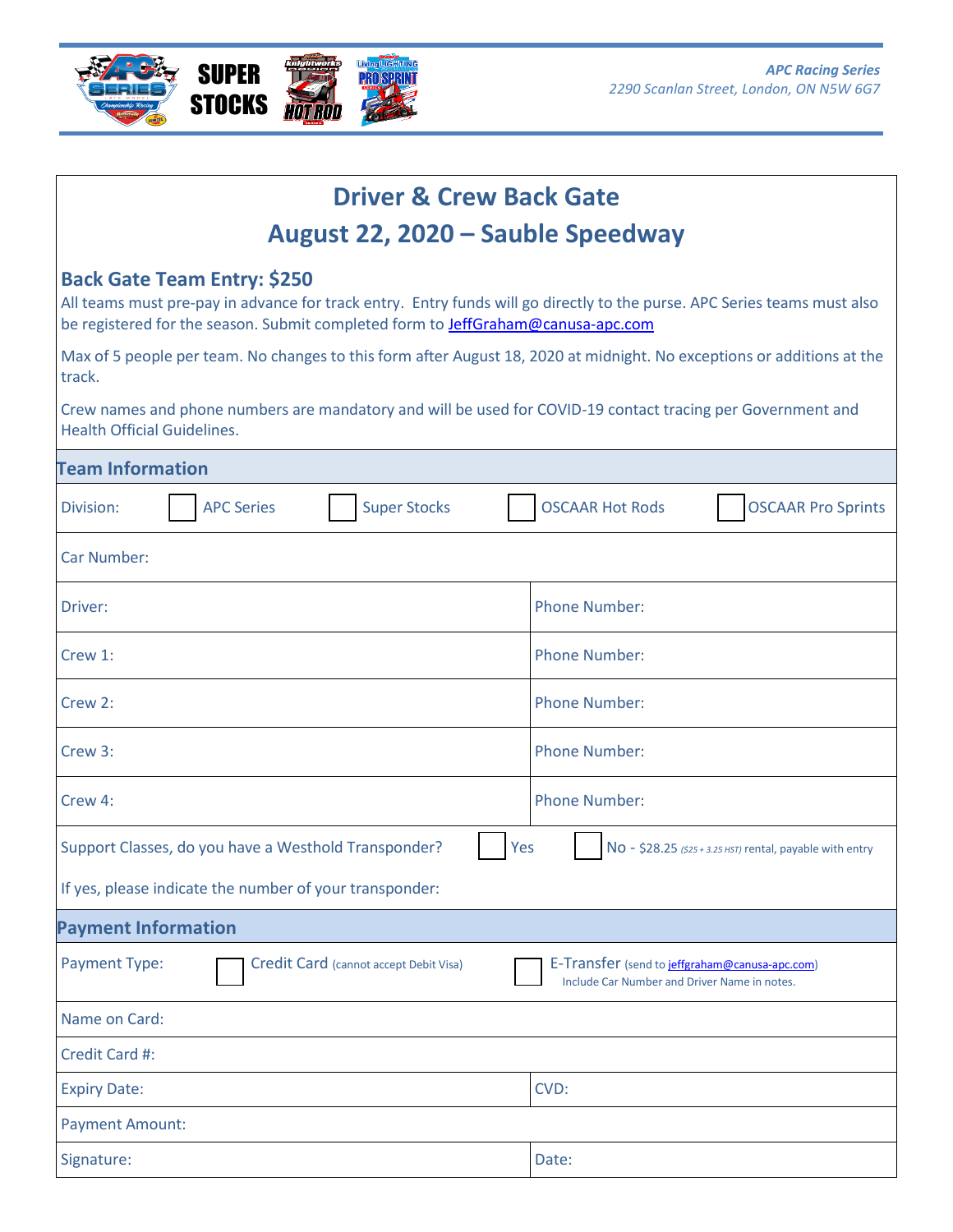

| <b>Driver &amp; Crew Back Gate</b>                                                                                                                                                                                                                        |                                                                                                |
|-----------------------------------------------------------------------------------------------------------------------------------------------------------------------------------------------------------------------------------------------------------|------------------------------------------------------------------------------------------------|
| August 22, 2020 – Sauble Speedway                                                                                                                                                                                                                         |                                                                                                |
| <b>Back Gate Team Entry: \$250</b><br>All teams must pre-pay in advance for track entry. Entry funds will go directly to the purse. APC Series teams must also<br>be registered for the season. Submit completed form to <b>JeffGraham@canusa-apc.com</b> |                                                                                                |
| Max of 5 people per team. No changes to this form after August 18, 2020 at midnight. No exceptions or additions at the<br>track.                                                                                                                          |                                                                                                |
| Crew names and phone numbers are mandatory and will be used for COVID-19 contact tracing per Government and<br><b>Health Official Guidelines.</b>                                                                                                         |                                                                                                |
| <b>Team Information</b>                                                                                                                                                                                                                                   |                                                                                                |
| <b>Super Stocks</b><br><b>APC Series</b><br>Division:                                                                                                                                                                                                     | <b>OSCAAR Hot Rods</b><br><b>OSCAAR Pro Sprints</b>                                            |
| <b>Car Number:</b>                                                                                                                                                                                                                                        |                                                                                                |
| Driver:                                                                                                                                                                                                                                                   | <b>Phone Number:</b>                                                                           |
| Crew 1:                                                                                                                                                                                                                                                   | <b>Phone Number:</b>                                                                           |
| Crew 2:                                                                                                                                                                                                                                                   | <b>Phone Number:</b>                                                                           |
| Crew 3:                                                                                                                                                                                                                                                   | <b>Phone Number:</b>                                                                           |
| Crew 4:                                                                                                                                                                                                                                                   | <b>Phone Number:</b>                                                                           |
| Support Classes, do you have a Westhold Transponder?<br>Yes                                                                                                                                                                                               | No - \$28.25 (\$25 + 3.25 HST) rental, payable with entry                                      |
| If yes, please indicate the number of your transponder:                                                                                                                                                                                                   |                                                                                                |
| <b>Payment Information</b>                                                                                                                                                                                                                                |                                                                                                |
| Payment Type:<br>Credit Card (cannot accept Debit Visa)                                                                                                                                                                                                   | E-Transfer (send to jeffgraham@canusa-apc.com)<br>Include Car Number and Driver Name in notes. |
| Name on Card:                                                                                                                                                                                                                                             |                                                                                                |
| Credit Card #:                                                                                                                                                                                                                                            |                                                                                                |
| <b>Expiry Date:</b>                                                                                                                                                                                                                                       | CVD:                                                                                           |
| <b>Payment Amount:</b>                                                                                                                                                                                                                                    |                                                                                                |
| Signature:                                                                                                                                                                                                                                                | Date:                                                                                          |